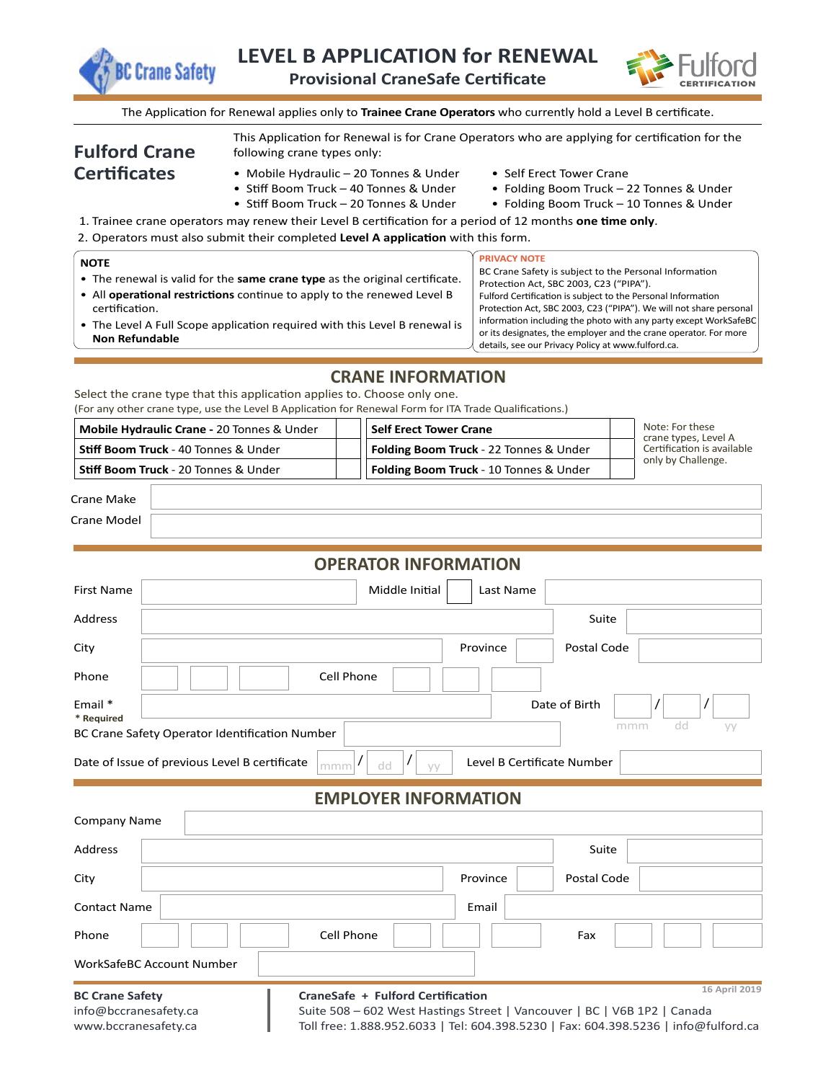



The Application for Renewal applies only to **Trainee Crane Operators** who currently hold a Level B certificate.

This Application for Renewal is for Crane Operators who are applying for certification for the

## **Fulford Crane Certificates**

- following crane types only:
- Mobile Hydraulic 20 Tonnes & Under Self Erect Tower Crane<br>• Stiff Boom Truck 40 Tonnes & Under Folding Boom Truck 2
	-
	-
- Folding Boom Truck 22 Tonnes & Under
- Stiff Boom Truck 20 Tonnes & Under Folding Boom Truck 10 Tonnes & Under
- 1. Trainee crane operators may renew their Level B certification for a period of 12 months **one time only**.
- 2. Operators must also submit their completed **Level A application** with this form.

| <b>NOTE</b><br>• The renewal is valid for the same crane type as the original certificate.<br>• All operational restrictions continue to apply to the renewed Level B<br>certification.<br>• The Level A Full Scope application required with this Level B renewal is<br><b>Non Refundable</b> | <b>PRIVACY NOTE</b><br>BC Crane Safety is subject to the Personal Information<br>Protection Act, SBC 2003, C23 ("PIPA").<br>Fulford Certification is subject to the Personal Information<br>Protection Act, SBC 2003, C23 ("PIPA"). We will not share personal<br>information including the photo with any party except WorkSafeBC<br>or its designates, the employer and the crane operator. For more<br>details, see our Privacy Policy at www.fulford.ca. |  |  |  |  |  |  |
|------------------------------------------------------------------------------------------------------------------------------------------------------------------------------------------------------------------------------------------------------------------------------------------------|--------------------------------------------------------------------------------------------------------------------------------------------------------------------------------------------------------------------------------------------------------------------------------------------------------------------------------------------------------------------------------------------------------------------------------------------------------------|--|--|--|--|--|--|
| <b>CRANE INFORMATION</b>                                                                                                                                                                                                                                                                       |                                                                                                                                                                                                                                                                                                                                                                                                                                                              |  |  |  |  |  |  |

Select the crane type that this application applies to. Choose only one. (For any other crane type, use the Level B Application for Renewal Form for ITA Trade Qualifications.)

| Mobile Hydraulic Crane - 20 Tonnes & Under  |  | Self Erect Tower Crane                        |  | Note: For these<br>crane types, Level A<br>Certification is available<br>only by Challenge. |
|---------------------------------------------|--|-----------------------------------------------|--|---------------------------------------------------------------------------------------------|
| <b>Stiff Boom Truck</b> - 40 Tonnes & Under |  | <b>Folding Boom Truck</b> - 22 Tonnes & Under |  |                                                                                             |
| <b>Stiff Boom Truck</b> - 20 Tonnes & Under |  | Folding Boom Truck - 10 Tonnes & Under        |  |                                                                                             |

| $C$ rane<br>م را د ۱۱   |  |
|-------------------------|--|
| . .<br>Crane N<br>uepoM |  |

| <b>First Name</b>                                                                                                                                                                                                |  |  |  |                                   | Middle Initial |  | Last Name |  |               |               |  |
|------------------------------------------------------------------------------------------------------------------------------------------------------------------------------------------------------------------|--|--|--|-----------------------------------|----------------|--|-----------|--|---------------|---------------|--|
| <b>Address</b>                                                                                                                                                                                                   |  |  |  |                                   |                |  |           |  | Suite         |               |  |
| City                                                                                                                                                                                                             |  |  |  |                                   |                |  | Province  |  | Postal Code   |               |  |
| Phone                                                                                                                                                                                                            |  |  |  | Cell Phone                        |                |  |           |  |               |               |  |
| Email *<br>* Required                                                                                                                                                                                            |  |  |  |                                   |                |  |           |  | Date of Birth | /             |  |
| dd<br>mmm<br>yy<br>BC Crane Safety Operator Identification Number                                                                                                                                                |  |  |  |                                   |                |  |           |  |               |               |  |
| Level B Certificate Number<br>Date of Issue of previous Level B certificate<br>$\prime$<br>$mm$ <sup>[/</sup> ]<br>dd<br><b>VV</b>                                                                               |  |  |  |                                   |                |  |           |  |               |               |  |
| <b>EMPLOYER INFORMATION</b>                                                                                                                                                                                      |  |  |  |                                   |                |  |           |  |               |               |  |
| <b>Company Name</b>                                                                                                                                                                                              |  |  |  |                                   |                |  |           |  |               |               |  |
| Address                                                                                                                                                                                                          |  |  |  |                                   |                |  |           |  | Suite         |               |  |
| City                                                                                                                                                                                                             |  |  |  |                                   |                |  | Province  |  | Postal Code   |               |  |
| <b>Contact Name</b>                                                                                                                                                                                              |  |  |  |                                   |                |  | Email     |  |               |               |  |
| Phone                                                                                                                                                                                                            |  |  |  | Cell Phone                        |                |  |           |  | Fax           |               |  |
| <b>WorkSafeBC Account Number</b>                                                                                                                                                                                 |  |  |  |                                   |                |  |           |  |               |               |  |
| <b>BC Crane Safety</b>                                                                                                                                                                                           |  |  |  | CraneSafe + Fulford Certification |                |  |           |  |               | 16 April 2019 |  |
| info@bccranesafety.ca<br>Suite 508 - 602 West Hastings Street   Vancouver   BC   V6B 1P2   Canada<br>Toll free: 1.888.952.6033   Tel: 604.398.5230   Fax: 604.398.5236   info@fulford.ca<br>www.bccranesafety.ca |  |  |  |                                   |                |  |           |  |               |               |  |